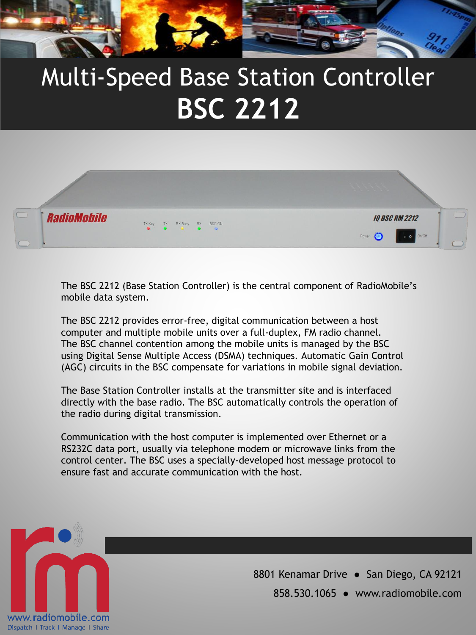

## Multi-Speed Base Station Controller **BSC 2212**



The BSC 2212 (Base Station Controller) is the central component of RadioMobile's mobile data system.

The BSC 2212 provides error-free, digital communication between a host computer and multiple mobile units over a full-duplex, FM radio channel. The BSC channel contention among the mobile units is managed by the BSC using Digital Sense Multiple Access (DSMA) techniques. Automatic Gain Control (AGC) circuits in the BSC compensate for variations in mobile signal deviation.

The Base Station Controller installs at the transmitter site and is interfaced directly with the base radio. The BSC automatically controls the operation of the radio during digital transmission.

Communication with the host computer is implemented over Ethernet or a RS232C data port, usually via telephone modem or microwave links from the control center. The BSC uses a specially-developed host message protocol to ensure fast and accurate communication with the host.



8801 Kenamar Drive · San Diego, CA 92121 858.530.1065 ● www.radiomobile.com